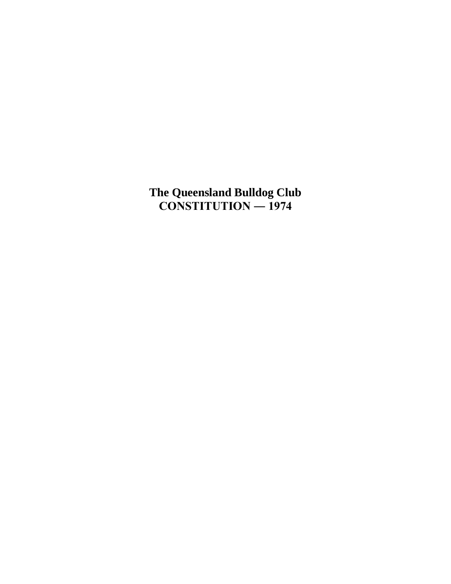**The Queensland Bulldog Club CONSTITUTION ― 1974**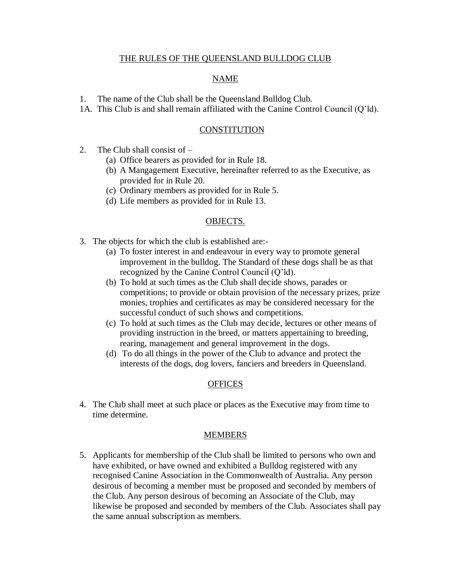### THE RULES OF THE QUEENSLAND BULLDOG CLUB

### NAME

- 1. The name of the Club shall be the Queensland Bulldog Club.
- 1A. This Club is and shall remain affiliated with the Canine Control Council (Q'ld).

### **CONSTITUTION**

- 2. The Club shall consist of
	- (a) Office bearers as provided for in Rule 18.
	- (b) A Mangagement Executive, hereinafter referred to as the Executive, as provided for in Rule 20.
	- (c) Ordinary members as provided for in Rule 5.
	- (d) Life members as provided for in Rule 13.

### OBJECTS.

- 3. The objects for which the club is established are:-
	- (a) To foster interest in and endeavour in every way to promote general improvement in the bulldog. The Standard of these dogs shall be as that recognized by the Canine Control Council (Q'ld).
	- (b) To hold at such times as the Club shall decide shows, parades or competitions; to provide or obtain provision of the necessary prizes, prize monies, trophies and certificates as may be considered necessary for the successful conduct of such shows and competitions.
	- (c) To hold at such times as the Club may decide, lectures or other means of providing instruction in the breed, or matters appertaining to breeding, rearing, management and general improvement in the dogs.
	- (d) To do all things in the power of the Club to advance and protect the interests of the dogs, dog lovers, fanciers and breeders in Queensland.

### **OFFICES**

4. The Club shall meet at such place or places as the Executive may from time to time determine.

#### MEMBERS

5. Applicants for membership of the Club shall be limited to persons who own and have exhibited, or have owned and exhibited a Bulldog registered with any recognised Canine Association in the Commonwealth of Australia. Any person desirous of becoming a member must be proposed and seconded by members of the Club. Any person desirous of becoming an Associate of the Club, may likewise be proposed and seconded by members of the Club. Associates shall pay the same annual subscription as members.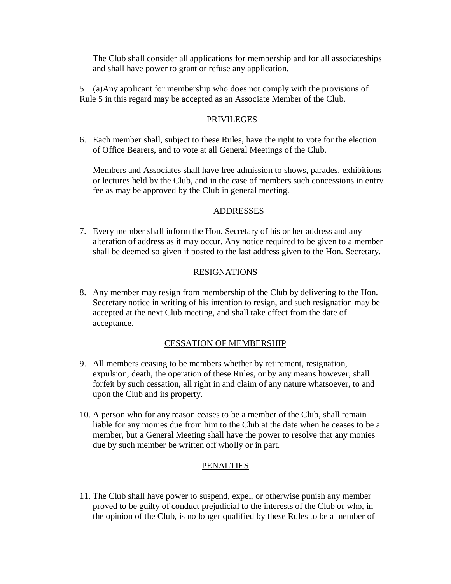The Club shall consider all applications for membership and for all associateships and shall have power to grant or refuse any application.

5 (a)Any applicant for membership who does not comply with the provisions of Rule 5 in this regard may be accepted as an Associate Member of the Club.

# PRIVILEGES

6. Each member shall, subject to these Rules, have the right to vote for the election of Office Bearers, and to vote at all General Meetings of the Club.

Members and Associates shall have free admission to shows, parades, exhibitions or lectures held by the Club, and in the case of members such concessions in entry fee as may be approved by the Club in general meeting.

### ADDRESSES

7. Every member shall inform the Hon. Secretary of his or her address and any alteration of address as it may occur. Any notice required to be given to a member shall be deemed so given if posted to the last address given to the Hon. Secretary.

### RESIGNATIONS

8. Any member may resign from membership of the Club by delivering to the Hon. Secretary notice in writing of his intention to resign, and such resignation may be accepted at the next Club meeting, and shall take effect from the date of acceptance.

# CESSATION OF MEMBERSHIP

- 9. All members ceasing to be members whether by retirement, resignation, expulsion, death, the operation of these Rules, or by any means however, shall forfeit by such cessation, all right in and claim of any nature whatsoever, to and upon the Club and its property.
- 10. A person who for any reason ceases to be a member of the Club, shall remain liable for any monies due from him to the Club at the date when he ceases to be a member, but a General Meeting shall have the power to resolve that any monies due by such member be written off wholly or in part.

# PENALTIES

11. The Club shall have power to suspend, expel, or otherwise punish any member proved to be guilty of conduct prejudicial to the interests of the Club or who, in the opinion of the Club, is no longer qualified by these Rules to be a member of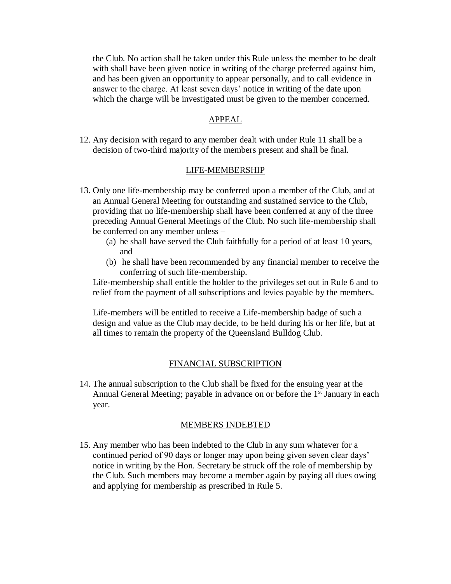the Club. No action shall be taken under this Rule unless the member to be dealt with shall have been given notice in writing of the charge preferred against him, and has been given an opportunity to appear personally, and to call evidence in answer to the charge. At least seven days' notice in writing of the date upon which the charge will be investigated must be given to the member concerned.

### APPEAL

12. Any decision with regard to any member dealt with under Rule 11 shall be a decision of two-third majority of the members present and shall be final.

### LIFE-MEMBERSHIP

- 13. Only one life-membership may be conferred upon a member of the Club, and at an Annual General Meeting for outstanding and sustained service to the Club, providing that no life-membership shall have been conferred at any of the three preceding Annual General Meetings of the Club. No such life-membership shall be conferred on any member unless –
	- (a) he shall have served the Club faithfully for a period of at least 10 years, and
	- (b) he shall have been recommended by any financial member to receive the conferring of such life-membership.

Life-membership shall entitle the holder to the privileges set out in Rule 6 and to relief from the payment of all subscriptions and levies payable by the members.

Life-members will be entitled to receive a Life-membership badge of such a design and value as the Club may decide, to be held during his or her life, but at all times to remain the property of the Queensland Bulldog Club.

### FINANCIAL SUBSCRIPTION

14. The annual subscription to the Club shall be fixed for the ensuing year at the Annual General Meeting; payable in advance on or before the  $1<sup>st</sup>$  January in each year.

#### MEMBERS INDEBTED

15. Any member who has been indebted to the Club in any sum whatever for a continued period of 90 days or longer may upon being given seven clear days' notice in writing by the Hon. Secretary be struck off the role of membership by the Club. Such members may become a member again by paying all dues owing and applying for membership as prescribed in Rule 5.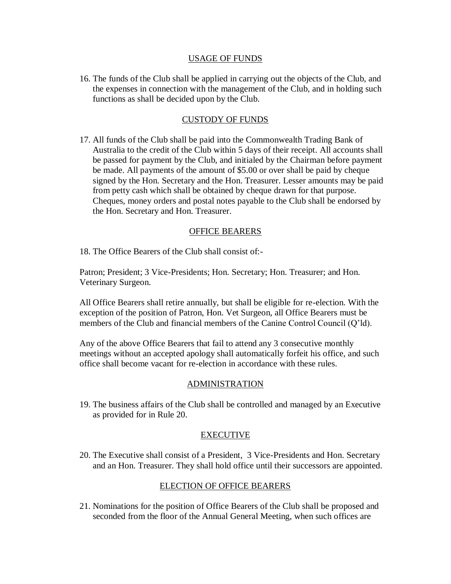### USAGE OF FUNDS

16. The funds of the Club shall be applied in carrying out the objects of the Club, and the expenses in connection with the management of the Club, and in holding such functions as shall be decided upon by the Club.

# CUSTODY OF FUNDS

17. All funds of the Club shall be paid into the Commonwealth Trading Bank of Australia to the credit of the Club within 5 days of their receipt. All accounts shall be passed for payment by the Club, and initialed by the Chairman before payment be made. All payments of the amount of \$5.00 or over shall be paid by cheque signed by the Hon. Secretary and the Hon. Treasurer. Lesser amounts may be paid from petty cash which shall be obtained by cheque drawn for that purpose. Cheques, money orders and postal notes payable to the Club shall be endorsed by the Hon. Secretary and Hon. Treasurer.

# OFFICE BEARERS

18. The Office Bearers of the Club shall consist of:-

Patron; President; 3 Vice-Presidents; Hon. Secretary; Hon. Treasurer; and Hon. Veterinary Surgeon.

All Office Bearers shall retire annually, but shall be eligible for re-election. With the exception of the position of Patron, Hon. Vet Surgeon, all Office Bearers must be members of the Club and financial members of the Canine Control Council (Q'ld).

Any of the above Office Bearers that fail to attend any 3 consecutive monthly meetings without an accepted apology shall automatically forfeit his office, and such office shall become vacant for re-election in accordance with these rules.

# ADMINISTRATION

19. The business affairs of the Club shall be controlled and managed by an Executive as provided for in Rule 20.

# EXECUTIVE

20. The Executive shall consist of a President, 3 Vice-Presidents and Hon. Secretary and an Hon. Treasurer. They shall hold office until their successors are appointed.

# ELECTION OF OFFICE BEARERS

21. Nominations for the position of Office Bearers of the Club shall be proposed and seconded from the floor of the Annual General Meeting, when such offices are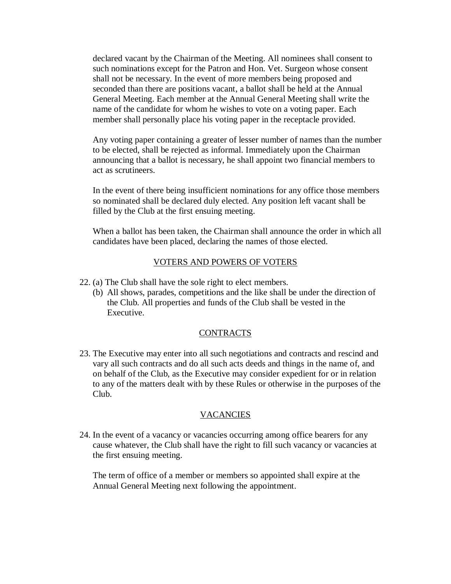declared vacant by the Chairman of the Meeting. All nominees shall consent to such nominations except for the Patron and Hon. Vet. Surgeon whose consent shall not be necessary. In the event of more members being proposed and seconded than there are positions vacant, a ballot shall be held at the Annual General Meeting. Each member at the Annual General Meeting shall write the name of the candidate for whom he wishes to vote on a voting paper. Each member shall personally place his voting paper in the receptacle provided.

Any voting paper containing a greater of lesser number of names than the number to be elected, shall be rejected as informal. Immediately upon the Chairman announcing that a ballot is necessary, he shall appoint two financial members to act as scrutineers.

In the event of there being insufficient nominations for any office those members so nominated shall be declared duly elected. Any position left vacant shall be filled by the Club at the first ensuing meeting.

When a ballot has been taken, the Chairman shall announce the order in which all candidates have been placed, declaring the names of those elected.

# VOTERS AND POWERS OF VOTERS

- 22. (a) The Club shall have the sole right to elect members.
	- (b) All shows, parades, competitions and the like shall be under the direction of the Club. All properties and funds of the Club shall be vested in the Executive.

# CONTRACTS

23. The Executive may enter into all such negotiations and contracts and rescind and vary all such contracts and do all such acts deeds and things in the name of, and on behalf of the Club, as the Executive may consider expedient for or in relation to any of the matters dealt with by these Rules or otherwise in the purposes of the Club.

# **VACANCIES**

24. In the event of a vacancy or vacancies occurring among office bearers for any cause whatever, the Club shall have the right to fill such vacancy or vacancies at the first ensuing meeting.

The term of office of a member or members so appointed shall expire at the Annual General Meeting next following the appointment.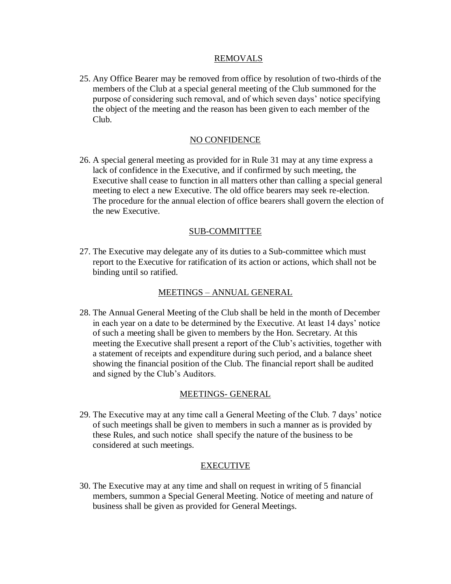### REMOVALS

25. Any Office Bearer may be removed from office by resolution of two-thirds of the members of the Club at a special general meeting of the Club summoned for the purpose of considering such removal, and of which seven days' notice specifying the object of the meeting and the reason has been given to each member of the Club.

# NO CONFIDENCE

26. A special general meeting as provided for in Rule 31 may at any time express a lack of confidence in the Executive, and if confirmed by such meeting, the Executive shall cease to function in all matters other than calling a special general meeting to elect a new Executive. The old office bearers may seek re-election. The procedure for the annual election of office bearers shall govern the election of the new Executive.

# SUB-COMMITTEE

27. The Executive may delegate any of its duties to a Sub-committee which must report to the Executive for ratification of its action or actions, which shall not be binding until so ratified.

# MEETINGS – ANNUAL GENERAL

28. The Annual General Meeting of the Club shall be held in the month of December in each year on a date to be determined by the Executive. At least 14 days' notice of such a meeting shall be given to members by the Hon. Secretary. At this meeting the Executive shall present a report of the Club's activities, together with a statement of receipts and expenditure during such period, and a balance sheet showing the financial position of the Club. The financial report shall be audited and signed by the Club's Auditors.

### MEETINGS- GENERAL

29. The Executive may at any time call a General Meeting of the Club. 7 days' notice of such meetings shall be given to members in such a manner as is provided by these Rules, and such notice shall specify the nature of the business to be considered at such meetings.

### EXECUTIVE

30. The Executive may at any time and shall on request in writing of 5 financial members, summon a Special General Meeting. Notice of meeting and nature of business shall be given as provided for General Meetings.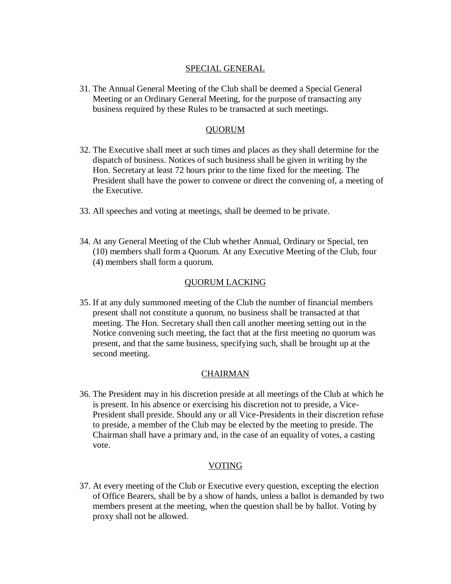# SPECIAL GENERAL

31. The Annual General Meeting of the Club shall be deemed a Special General Meeting or an Ordinary General Meeting, for the purpose of transacting any business required by these Rules to be transacted at such meetings.

### QUORUM

- 32. The Executive shall meet at such times and places as they shall determine for the dispatch of business. Notices of such business shall be given in writing by the Hon. Secretary at least 72 hours prior to the time fixed for the meeting. The President shall have the power to convene or direct the convening of, a meeting of the Executive.
- 33. All speeches and voting at meetings, shall be deemed to be private.
- 34. At any General Meeting of the Club whether Annual, Ordinary or Special, ten (10) members shall form a Quorum. At any Executive Meeting of the Club, four (4) members shall form a quorum.

### QUORUM LACKING

35. If at any duly summoned meeting of the Club the number of financial members present shall not constitute a quorum, no business shall be transacted at that meeting. The Hon. Secretary shall then call another meeting setting out in the Notice convening such meeting, the fact that at the first meeting no quorum was present, and that the same business, specifying such, shall be brought up at the second meeting.

# CHAIRMAN

36. The President may in his discretion preside at all meetings of the Club at which he is present. In his absence or exercising his discretion not to preside, a Vice-President shall preside. Should any or all Vice-Presidents in their discretion refuse to preside, a member of the Club may be elected by the meeting to preside. The Chairman shall have a primary and, in the case of an equality of votes, a casting vote.

### VOTING

37. At every meeting of the Club or Executive every question, excepting the election of Office Bearers, shall be by a show of hands, unless a ballot is demanded by two members present at the meeting, when the question shall be by ballot. Voting by proxy shall not be allowed.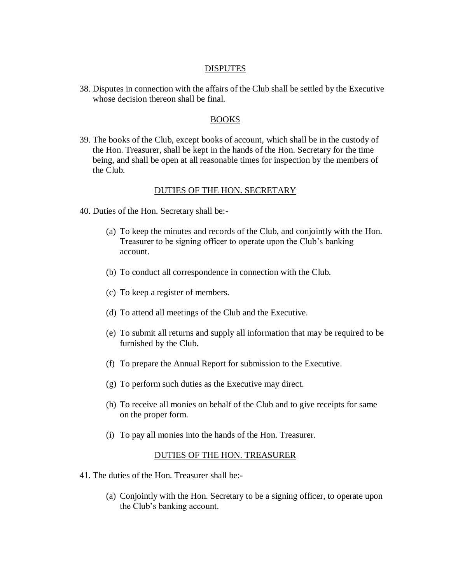### **DISPUTES**

38. Disputes in connection with the affairs of the Club shall be settled by the Executive whose decision thereon shall be final.

### BOOKS

39. The books of the Club, except books of account, which shall be in the custody of the Hon. Treasurer, shall be kept in the hands of the Hon. Secretary for the time being, and shall be open at all reasonable times for inspection by the members of the Club.

#### DUTIES OF THE HON. SECRETARY

- 40. Duties of the Hon. Secretary shall be:-
	- (a) To keep the minutes and records of the Club, and conjointly with the Hon. Treasurer to be signing officer to operate upon the Club's banking account.
	- (b) To conduct all correspondence in connection with the Club.
	- (c) To keep a register of members.
	- (d) To attend all meetings of the Club and the Executive.
	- (e) To submit all returns and supply all information that may be required to be furnished by the Club.
	- (f) To prepare the Annual Report for submission to the Executive.
	- (g) To perform such duties as the Executive may direct.
	- (h) To receive all monies on behalf of the Club and to give receipts for same on the proper form.
	- (i) To pay all monies into the hands of the Hon. Treasurer.

#### DUTIES OF THE HON. TREASURER

- 41. The duties of the Hon. Treasurer shall be:-
	- (a) Conjointly with the Hon. Secretary to be a signing officer, to operate upon the Club's banking account.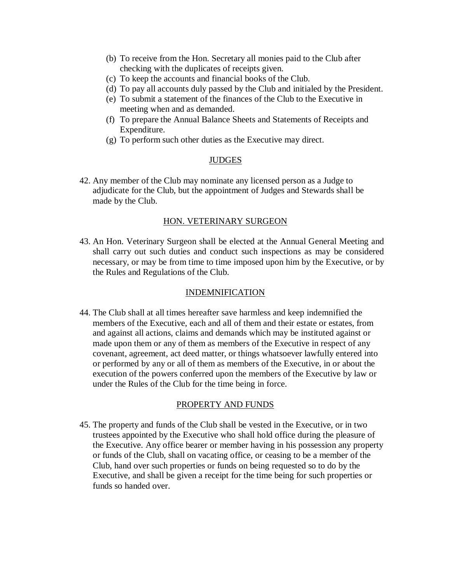- (b) To receive from the Hon. Secretary all monies paid to the Club after checking with the duplicates of receipts given.
- (c) To keep the accounts and financial books of the Club.
- (d) To pay all accounts duly passed by the Club and initialed by the President.
- (e) To submit a statement of the finances of the Club to the Executive in meeting when and as demanded.
- (f) To prepare the Annual Balance Sheets and Statements of Receipts and Expenditure.
- (g) To perform such other duties as the Executive may direct.

### **JUDGES**

42. Any member of the Club may nominate any licensed person as a Judge to adjudicate for the Club, but the appointment of Judges and Stewards shall be made by the Club.

### HON. VETERINARY SURGEON

43. An Hon. Veterinary Surgeon shall be elected at the Annual General Meeting and shall carry out such duties and conduct such inspections as may be considered necessary, or may be from time to time imposed upon him by the Executive, or by the Rules and Regulations of the Club.

### INDEMNIFICATION

44. The Club shall at all times hereafter save harmless and keep indemnified the members of the Executive, each and all of them and their estate or estates, from and against all actions, claims and demands which may be instituted against or made upon them or any of them as members of the Executive in respect of any covenant, agreement, act deed matter, or things whatsoever lawfully entered into or performed by any or all of them as members of the Executive, in or about the execution of the powers conferred upon the members of the Executive by law or under the Rules of the Club for the time being in force.

#### PROPERTY AND FUNDS

45. The property and funds of the Club shall be vested in the Executive, or in two trustees appointed by the Executive who shall hold office during the pleasure of the Executive. Any office bearer or member having in his possession any property or funds of the Club, shall on vacating office, or ceasing to be a member of the Club, hand over such properties or funds on being requested so to do by the Executive, and shall be given a receipt for the time being for such properties or funds so handed over.